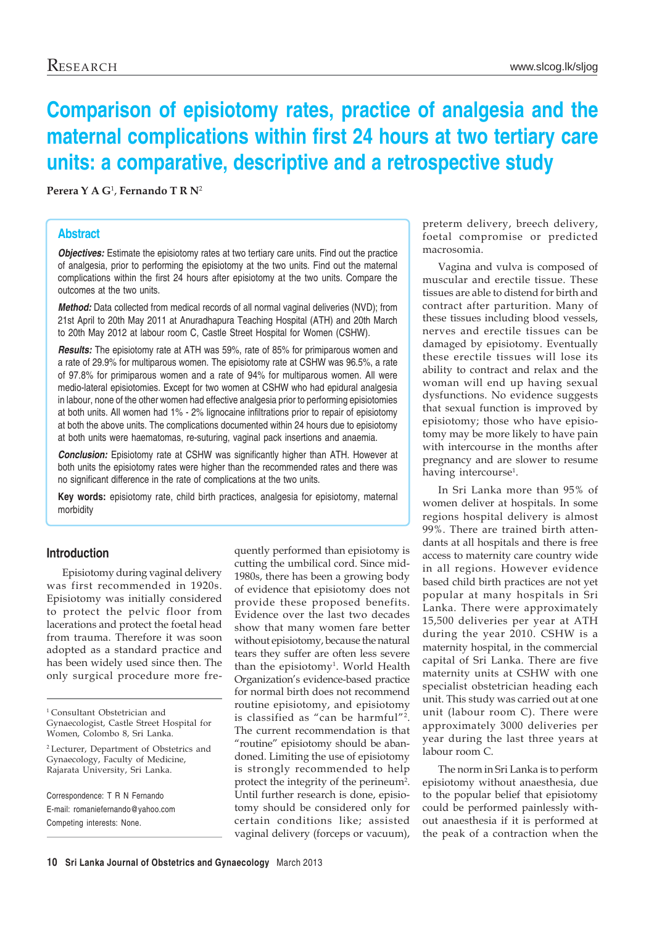# **Comparison of episiotomy rates, practice of analgesia and the maternal complications within first 24 hours at two tertiary care units: a comparative, descriptive and a retrospective study**

**Perera Y A G**<sup>1</sup> , **Fernando T R N**<sup>2</sup>

## **Abstract**

**Objectives:** Estimate the episiotomy rates at two tertiary care units. Find out the practice of analgesia, prior to performing the episiotomy at the two units. Find out the maternal complications within the first 24 hours after episiotomy at the two units. Compare the outcomes at the two units.

*Method:* Data collected from medical records of all normal vaginal deliveries (NVD); from 21st April to 20th May 2011 at Anuradhapura Teaching Hospital (ATH) and 20th March to 20th May 2012 at labour room C, Castle Street Hospital for Women (CSHW).

*Results:* The episiotomy rate at ATH was 59%, rate of 85% for primiparous women and a rate of 29.9% for multiparous women. The episiotomy rate at CSHW was 96.5%, a rate of 97.8% for primiparous women and a rate of 94% for multiparous women. All were medio-lateral episiotomies. Except for two women at CSHW who had epidural analgesia in labour, none of the other women had effective analgesia prior to performing episiotomies at both units. All women had 1% - 2% lignocaine infiltrations prior to repair of episiotomy at both the above units. The complications documented within 24 hours due to episiotomy at both units were haematomas, re-suturing, vaginal pack insertions and anaemia.

*Conclusion:* Episiotomy rate at CSHW was significantly higher than ATH. However at both units the episiotomy rates were higher than the recommended rates and there was no significant difference in the rate of complications at the two units.

**Key words:** episiotomy rate, child birth practices, analgesia for episiotomy, maternal morbidity

# **Introduction**

Episiotomy during vaginal delivery was first recommended in 1920s. Episiotomy was initially considered to protect the pelvic floor from lacerations and protect the foetal head from trauma. Therefore it was soon adopted as a standard practice and has been widely used since then. The only surgical procedure more fre-

<sup>1</sup> Consultant Obstetrician and Gynaecologist, Castle Street Hospital for Women, Colombo 8, Sri Lanka.

2 Lecturer, Department of Obstetrics and Gynaecology, Faculty of Medicine, Rajarata University, Sri Lanka.

Correspondence: T R N Fernando E-mail: romaniefernando@yahoo.com Competing interests: None.

quently performed than episiotomy is cutting the umbilical cord. Since mid-1980s, there has been a growing body of evidence that episiotomy does not provide these proposed benefits. Evidence over the last two decades show that many women fare better without episiotomy, because the natural tears they suffer are often less severe than the episiotomy<sup>1</sup>. World Health Organization's evidence-based practice for normal birth does not recommend routine episiotomy, and episiotomy is classified as "can be harmful"2. The current recommendation is that "routine" episiotomy should be abandoned. Limiting the use of episiotomy is strongly recommended to help protect the integrity of the perineum<sup>2</sup>. Until further research is done, episiotomy should be considered only for certain conditions like; assisted vaginal delivery (forceps or vacuum),

preterm delivery, breech delivery, foetal compromise or predicted macrosomia.

Vagina and vulva is composed of muscular and erectile tissue. These tissues are able to distend for birth and contract after parturition. Many of these tissues including blood vessels, nerves and erectile tissues can be damaged by episiotomy. Eventually these erectile tissues will lose its ability to contract and relax and the woman will end up having sexual dysfunctions. No evidence suggests that sexual function is improved by episiotomy; those who have episiotomy may be more likely to have pain with intercourse in the months after pregnancy and are slower to resume having intercourse<sup>1</sup>.

In Sri Lanka more than 95% of women deliver at hospitals. In some regions hospital delivery is almost 99%. There are trained birth attendants at all hospitals and there is free access to maternity care country wide in all regions. However evidence based child birth practices are not yet popular at many hospitals in Sri Lanka. There were approximately 15,500 deliveries per year at ATH during the year 2010. CSHW is a maternity hospital, in the commercial capital of Sri Lanka. There are five maternity units at CSHW with one specialist obstetrician heading each unit. This study was carried out at one unit (labour room C). There were approximately 3000 deliveries per year during the last three years at labour room C.

The norm in Sri Lanka is to perform episiotomy without anaesthesia, due to the popular belief that episiotomy could be performed painlessly without anaesthesia if it is performed at the peak of a contraction when the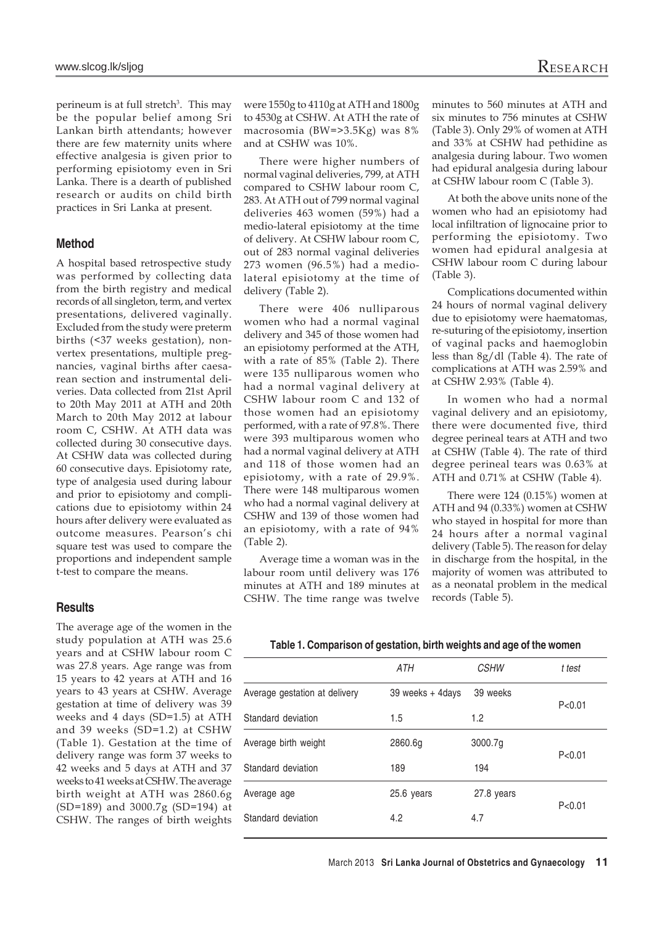perineum is at full stretch<sup>3</sup>. This may be the popular belief among Sri Lankan birth attendants; however there are few maternity units where effective analgesia is given prior to performing episiotomy even in Sri Lanka. There is a dearth of published research or audits on child birth practices in Sri Lanka at present.

#### **Method**

A hospital based retrospective study was performed by collecting data from the birth registry and medical records of all singleton, term, and vertex presentations, delivered vaginally. Excluded from the study were preterm births (<37 weeks gestation), nonvertex presentations, multiple pregnancies, vaginal births after caesarean section and instrumental deliveries. Data collected from 21st April to 20th May 2011 at ATH and 20th March to 20th May 2012 at labour room C, CSHW. At ATH data was collected during 30 consecutive days. At CSHW data was collected during 60 consecutive days. Episiotomy rate, type of analgesia used during labour and prior to episiotomy and complications due to episiotomy within 24 hours after delivery were evaluated as outcome measures. Pearson's chi square test was used to compare the proportions and independent sample t-test to compare the means.

#### **Results**

The average age of the women in the study population at ATH was 25.6 years and at CSHW labour room C was 27.8 years. Age range was from 15 years to 42 years at ATH and 16 years to 43 years at CSHW. Average gestation at time of delivery was 39 weeks and 4 days (SD=1.5) at ATH and 39 weeks (SD=1.2) at CSHW (Table 1). Gestation at the time of delivery range was form 37 weeks to 42 weeks and 5 days at ATH and 37 weeks to 41 weeks at CSHW. The average birth weight at ATH was 2860.6g (SD=189) and 3000.7g (SD=194) at CSHW. The ranges of birth weights

were 1550g to 4110g at ATH and 1800g to 4530g at CSHW. At ATH the rate of macrosomia (BW=>3.5Kg) was 8% and at CSHW was 10%.

There were higher numbers of normal vaginal deliveries, 799, at ATH compared to CSHW labour room C, 283. At ATH out of 799 normal vaginal deliveries 463 women (59%) had a medio-lateral episiotomy at the time of delivery. At CSHW labour room C, out of 283 normal vaginal deliveries 273 women (96.5%) had a mediolateral episiotomy at the time of delivery (Table 2).

There were 406 nulliparous women who had a normal vaginal delivery and 345 of those women had an episiotomy performed at the ATH, with a rate of 85% (Table 2). There were 135 nulliparous women who had a normal vaginal delivery at CSHW labour room C and 132 of those women had an episiotomy performed, with a rate of 97.8%. There were 393 multiparous women who had a normal vaginal delivery at ATH and 118 of those women had an episiotomy, with a rate of 29.9%. There were 148 multiparous women who had a normal vaginal delivery at CSHW and 139 of those women had an episiotomy, with a rate of 94% (Table 2).

Average time a woman was in the labour room until delivery was 176 minutes at ATH and 189 minutes at CSHW. The time range was twelve minutes to 560 minutes at ATH and six minutes to 756 minutes at CSHW (Table 3). Only 29% of women at ATH and 33% at CSHW had pethidine as analgesia during labour. Two women had epidural analgesia during labour at CSHW labour room C (Table 3).

At both the above units none of the women who had an episiotomy had local infiltration of lignocaine prior to performing the episiotomy. Two women had epidural analgesia at CSHW labour room C during labour (Table 3).

Complications documented within 24 hours of normal vaginal delivery due to episiotomy were haematomas, re-suturing of the episiotomy, insertion of vaginal packs and haemoglobin less than 8g/dl (Table 4). The rate of complications at ATH was 2.59% and at CSHW 2.93% (Table 4).

In women who had a normal vaginal delivery and an episiotomy, there were documented five, third degree perineal tears at ATH and two at CSHW (Table 4). The rate of third degree perineal tears was 0.63% at ATH and 0.71% at CSHW (Table 4).

There were 124 (0.15%) women at ATH and 94 (0.33%) women at CSHW who stayed in hospital for more than 24 hours after a normal vaginal delivery (Table 5). The reason for delay in discharge from the hospital, in the majority of women was attributed to as a neonatal problem in the medical records (Table 5).

#### **Table 1. Comparison of gestation, birth weights and age of the women**

|                               | ATH              | <b>CSHW</b> | t test   |  |
|-------------------------------|------------------|-------------|----------|--|
| Average gestation at delivery | 39 weeks + 4days | 39 weeks    | P < 0.01 |  |
| Standard deviation            | 1.5              | 1.2         |          |  |
| Average birth weight          | 2860.6a          | 3000.7g     |          |  |
| Standard deviation            | 189              | 194         | P < 0.01 |  |
| Average age                   | 25.6 years       | 27.8 years  |          |  |
| Standard deviation            | 4.2              | 4.7         | P < 0.01 |  |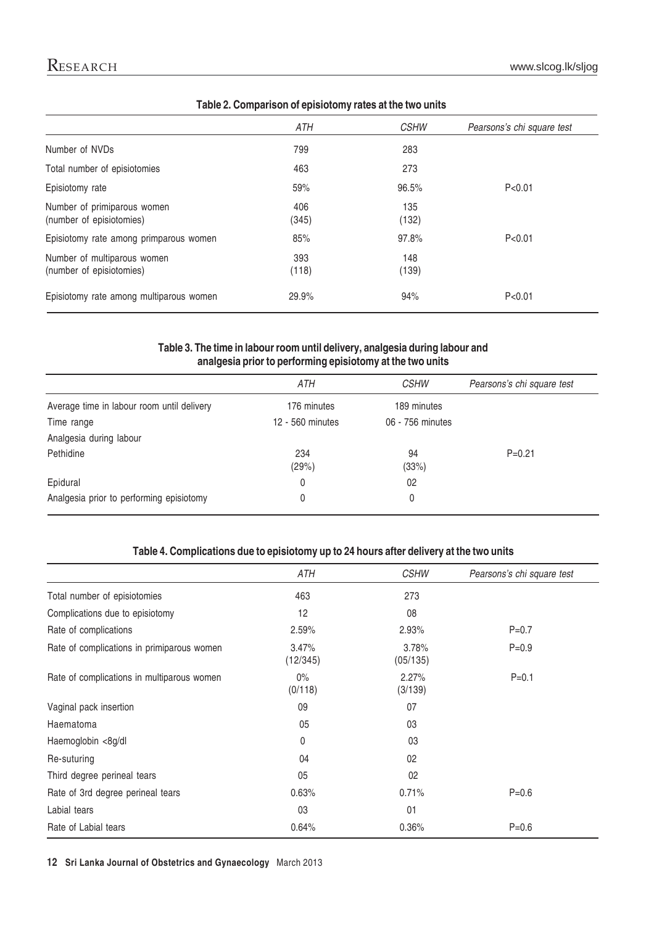|                                                         | ATH          | <b>CSHW</b>  | Pearsons's chi square test |
|---------------------------------------------------------|--------------|--------------|----------------------------|
| Number of NVDs                                          | 799          | 283          |                            |
| Total number of episiotomies                            | 463          | 273          |                            |
| Episiotomy rate                                         | 59%          | 96.5%        | P < 0.01                   |
| Number of primiparous women<br>(number of episiotomies) | 406<br>(345) | 135<br>(132) |                            |
| Episiotomy rate among primparous women                  | 85%          | 97.8%        | P < 0.01                   |
| Number of multiparous women<br>(number of episiotomies) | 393<br>(118) | 148<br>(139) |                            |
| Episiotomy rate among multiparous women                 | 29.9%        | 94%          | P < 0.01                   |

# **Table 2. Comparison of episiotomy rates at the two units**

## **Table 3. The time in labour room until delivery, analgesia during labour and analgesia prior to performing episiotomy at the two units**

|                                            | ATH              | <b>CSHW</b>      | Pearsons's chi square test |
|--------------------------------------------|------------------|------------------|----------------------------|
| Average time in labour room until delivery | 176 minutes      | 189 minutes      |                            |
| Time range                                 | 12 - 560 minutes | 06 - 756 minutes |                            |
| Analgesia during labour                    |                  |                  |                            |
| Pethidine                                  | 234<br>(29%)     | 94<br>(33%)      | $P=0.21$                   |
| Epidural                                   | 0                | 02               |                            |
| Analgesia prior to performing episiotomy   | 0                | 0                |                            |

# **Table 4. Complications due to episiotomy up to 24 hours after delivery at the two units**

|                                            | ATH               | <b>CSHW</b>       | Pearsons's chi square test |
|--------------------------------------------|-------------------|-------------------|----------------------------|
| Total number of episiotomies               | 463               | 273               |                            |
| Complications due to episiotomy            | 12                | 08                |                            |
| Rate of complications                      | 2.59%             | 2.93%             | $P = 0.7$                  |
| Rate of complications in primiparous women | 3.47%<br>(12/345) | 3.78%<br>(05/135) | $P = 0.9$                  |
| Rate of complications in multiparous women | $0\%$<br>(0/118)  | 2.27%<br>(3/139)  | $P = 0.1$                  |
| Vaginal pack insertion                     | 09                | 07                |                            |
| Haematoma                                  | 05                | 03                |                            |
| Haemoglobin <8g/dl                         | 0                 | 03                |                            |
| Re-suturing                                | 04                | 02                |                            |
| Third degree perineal tears                | 05                | 02                |                            |
| Rate of 3rd degree perineal tears          | 0.63%             | 0.71%             | $P = 0.6$                  |
| Labial tears                               | 03                | 01                |                            |
| Rate of Labial tears                       | 0.64%             | 0.36%             | $P = 0.6$                  |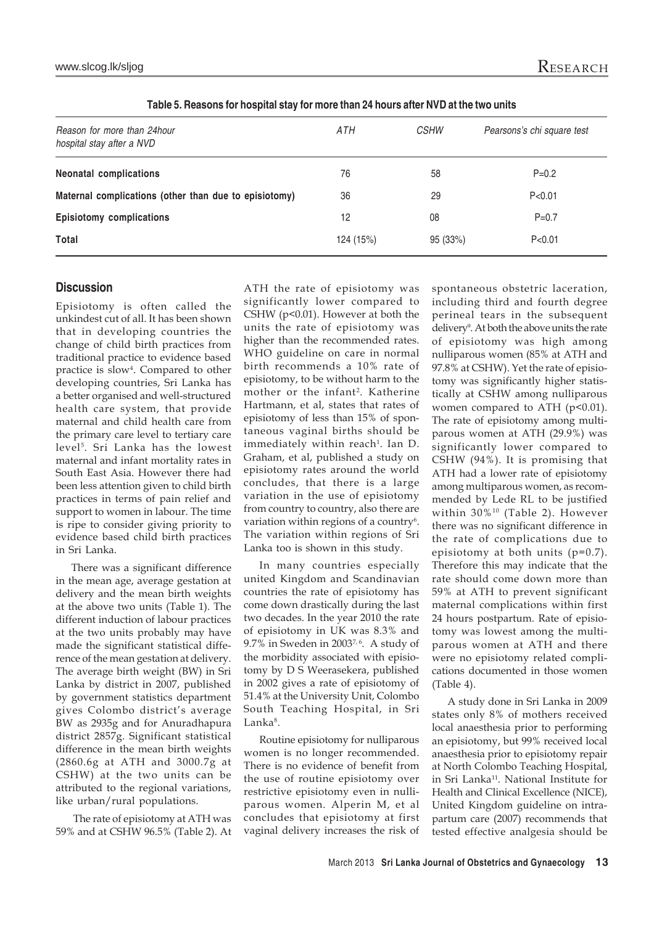www.slcog.lk/sljog $\rm{Rese}$ 

| Reason for more than 24hour<br>hospital stay after a NVD | ATH       | <b>CSHW</b> | Pearsons's chi square test |
|----------------------------------------------------------|-----------|-------------|----------------------------|
| <b>Neonatal complications</b>                            | 76        | 58          | $P = 0.2$                  |
| Maternal complications (other than due to episiotomy)    | 36        | 29          | P<0.01                     |
| <b>Episiotomy complications</b>                          | 12        | 08          | $P = 0.7$                  |
| Total                                                    | 124 (15%) | 95 (33%)    | P < 0.01                   |

**Table 5. Reasons for hospital stay for more than 24 hours after NVD at the two units**

## **Discussion**

Episiotomy is often called the unkindest cut of all. It has been shown that in developing countries the change of child birth practices from traditional practice to evidence based practice is slow4 . Compared to other developing countries, Sri Lanka has a better organised and well-structured health care system, that provide maternal and child health care from the primary care level to tertiary care level<sup>5</sup>. Sri Lanka has the lowest maternal and infant mortality rates in South East Asia. However there had been less attention given to child birth practices in terms of pain relief and support to women in labour. The time is ripe to consider giving priority to evidence based child birth practices in Sri Lanka.

There was a significant difference in the mean age, average gestation at delivery and the mean birth weights at the above two units (Table 1). The different induction of labour practices at the two units probably may have made the significant statistical difference of the mean gestation at delivery. The average birth weight (BW) in Sri Lanka by district in 2007, published by government statistics department gives Colombo district's average BW as 2935g and for Anuradhapura district 2857g. Significant statistical difference in the mean birth weights (2860.6g at ATH and 3000.7g at CSHW) at the two units can be attributed to the regional variations, like urban/rural populations.

 The rate of episiotomy at ATH was 59% and at CSHW 96.5% (Table 2). At ATH the rate of episiotomy was significantly lower compared to CSHW (p<0.01). However at both the units the rate of episiotomy was higher than the recommended rates. WHO guideline on care in normal birth recommends a 10% rate of episiotomy, to be without harm to the mother or the infant<sup>2</sup>. Katherine Hartmann, et al, states that rates of episiotomy of less than 15% of spontaneous vaginal births should be immediately within reach<sup>1</sup>. Ian D. Graham, et al, published a study on episiotomy rates around the world concludes, that there is a large variation in the use of episiotomy from country to country, also there are variation within regions of a country<sup>6</sup>. The variation within regions of Sri Lanka too is shown in this study.

In many countries especially united Kingdom and Scandinavian countries the rate of episiotomy has come down drastically during the last two decades. In the year 2010 the rate of episiotomy in UK was 8.3% and 9.7% in Sweden in 2003 $^{7,6}$ . A study of the morbidity associated with episiotomy by D S Weerasekera, published in 2002 gives a rate of episiotomy of 51.4% at the University Unit, Colombo South Teaching Hospital, in Sri Lanka<sup>8</sup>.

Routine episiotomy for nulliparous women is no longer recommended. There is no evidence of benefit from the use of routine episiotomy over restrictive episiotomy even in nulliparous women. Alperin M, et al concludes that episiotomy at first vaginal delivery increases the risk of spontaneous obstetric laceration, including third and fourth degree perineal tears in the subsequent delivery<sup>9</sup>. At both the above units the rate of episiotomy was high among nulliparous women (85% at ATH and 97.8% at CSHW). Yet the rate of episiotomy was significantly higher statistically at CSHW among nulliparous women compared to ATH (p<0.01). The rate of episiotomy among multiparous women at ATH (29.9%) was significantly lower compared to CSHW (94%). It is promising that ATH had a lower rate of episiotomy among multiparous women, as recommended by Lede RL to be justified within 30%10 (Table 2). However there was no significant difference in the rate of complications due to episiotomy at both units (p=0.7). Therefore this may indicate that the rate should come down more than 59% at ATH to prevent significant maternal complications within first 24 hours postpartum. Rate of episiotomy was lowest among the multiparous women at ATH and there were no episiotomy related complications documented in those women (Table 4).

A study done in Sri Lanka in 2009 states only 8% of mothers received local anaesthesia prior to performing an episiotomy, but 99% received local anaesthesia prior to episiotomy repair at North Colombo Teaching Hospital, in Sri Lanka11. National Institute for Health and Clinical Excellence (NICE), United Kingdom guideline on intrapartum care (2007) recommends that tested effective analgesia should be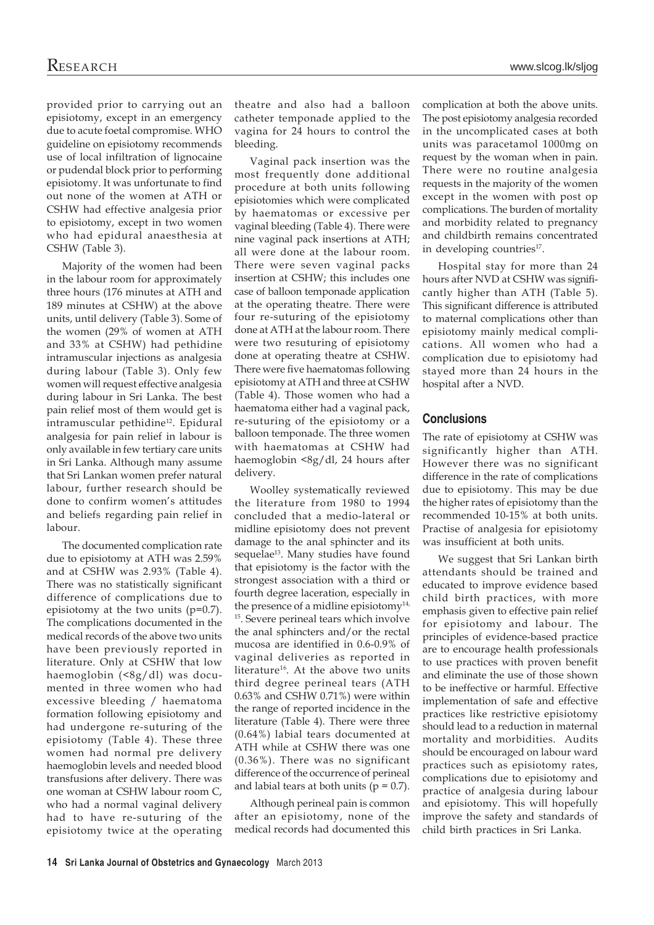provided prior to carrying out an episiotomy, except in an emergency due to acute foetal compromise. WHO guideline on episiotomy recommends use of local infiltration of lignocaine or pudendal block prior to performing episiotomy. It was unfortunate to find out none of the women at ATH or CSHW had effective analgesia prior to episiotomy, except in two women who had epidural anaesthesia at CSHW (Table 3).

Majority of the women had been in the labour room for approximately three hours (176 minutes at ATH and 189 minutes at CSHW) at the above units, until delivery (Table 3). Some of the women (29% of women at ATH and 33% at CSHW) had pethidine intramuscular injections as analgesia during labour (Table 3). Only few women will request effective analgesia during labour in Sri Lanka. The best pain relief most of them would get is intramuscular pethidine<sup>12</sup>. Epidural analgesia for pain relief in labour is only available in few tertiary care units in Sri Lanka. Although many assume that Sri Lankan women prefer natural labour, further research should be done to confirm women's attitudes and beliefs regarding pain relief in labour.

The documented complication rate due to episiotomy at ATH was 2.59% and at CSHW was 2.93% (Table 4). There was no statistically significant difference of complications due to episiotomy at the two units (p=0.7). The complications documented in the medical records of the above two units have been previously reported in literature. Only at CSHW that low haemoglobin (<8g/dl) was documented in three women who had excessive bleeding / haematoma formation following episiotomy and had undergone re-suturing of the episiotomy (Table 4). These three women had normal pre delivery haemoglobin levels and needed blood transfusions after delivery. There was one woman at CSHW labour room C, who had a normal vaginal delivery had to have re-suturing of the episiotomy twice at the operating

theatre and also had a balloon catheter temponade applied to the vagina for 24 hours to control the bleeding.

Vaginal pack insertion was the most frequently done additional procedure at both units following episiotomies which were complicated by haematomas or excessive per vaginal bleeding (Table 4). There were nine vaginal pack insertions at ATH; all were done at the labour room. There were seven vaginal packs insertion at CSHW; this includes one case of balloon temponade application at the operating theatre. There were four re-suturing of the episiotomy done at ATH at the labour room. There were two resuturing of episiotomy done at operating theatre at CSHW. There were five haematomas following episiotomy at ATH and three at CSHW (Table 4). Those women who had a haematoma either had a vaginal pack, re-suturing of the episiotomy or a balloon temponade. The three women with haematomas at CSHW had haemoglobin <8g/dl, 24 hours after delivery.

Woolley systematically reviewed the literature from 1980 to 1994 concluded that a medio-lateral or midline episiotomy does not prevent damage to the anal sphincter and its sequelae<sup>13</sup>. Many studies have found that episiotomy is the factor with the strongest association with a third or fourth degree laceration, especially in the presence of a midline episiotomy $14$ , 15. Severe perineal tears which involve the anal sphincters and/or the rectal mucosa are identified in 0.6-0.9% of vaginal deliveries as reported in literature<sup>16</sup>. At the above two units third degree perineal tears (ATH 0.63% and CSHW 0.71%) were within the range of reported incidence in the literature (Table 4). There were three (0.64%) labial tears documented at ATH while at CSHW there was one (0.36%). There was no significant difference of the occurrence of perineal and labial tears at both units ( $p = 0.7$ ).

Although perineal pain is common after an episiotomy, none of the medical records had documented this complication at both the above units. The post episiotomy analgesia recorded in the uncomplicated cases at both units was paracetamol 1000mg on request by the woman when in pain. There were no routine analgesia requests in the majority of the women except in the women with post op complications. The burden of mortality and morbidity related to pregnancy and childbirth remains concentrated in developing countries<sup>17</sup>.

Hospital stay for more than 24 hours after NVD at CSHW was significantly higher than ATH (Table 5). This significant difference is attributed to maternal complications other than episiotomy mainly medical complications. All women who had a complication due to episiotomy had stayed more than 24 hours in the hospital after a NVD.

## **Conclusions**

The rate of episiotomy at CSHW was significantly higher than ATH. However there was no significant difference in the rate of complications due to episiotomy. This may be due the higher rates of episiotomy than the recommended 10-15% at both units. Practise of analgesia for episiotomy was insufficient at both units.

We suggest that Sri Lankan birth attendants should be trained and educated to improve evidence based child birth practices, with more emphasis given to effective pain relief for episiotomy and labour. The principles of evidence-based practice are to encourage health professionals to use practices with proven benefit and eliminate the use of those shown to be ineffective or harmful. Effective implementation of safe and effective practices like restrictive episiotomy should lead to a reduction in maternal mortality and morbidities. Audits should be encouraged on labour ward practices such as episiotomy rates, complications due to episiotomy and practice of analgesia during labour and episiotomy. This will hopefully improve the safety and standards of child birth practices in Sri Lanka.